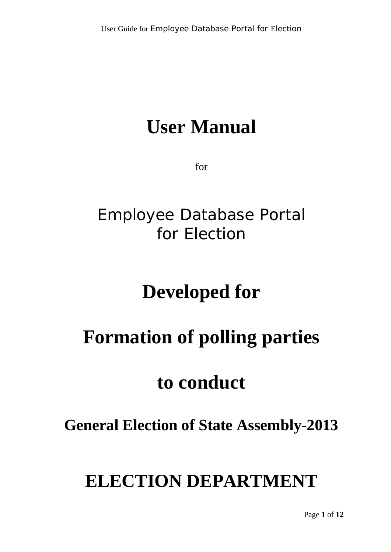# **User Manual**

for

## Employee Database Portal for Election

# **Developed for**

# **Formation of polling parties**

## **to conduct**

### **General Election of State Assembly-2013**

## **ELECTION DEPARTMENT**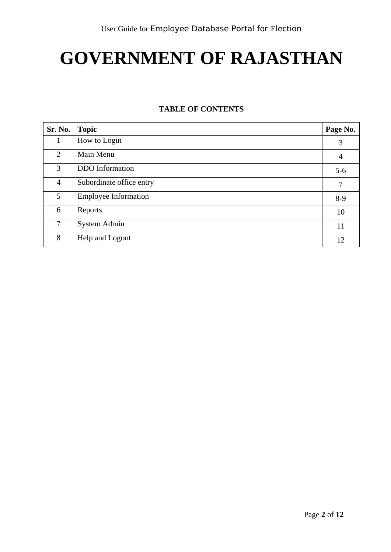# **GOVERNMENT OF RAJASTHAN**

#### **TABLE OF CONTENTS**

| Sr. No.        | <b>Topic</b>                | Page No.       |
|----------------|-----------------------------|----------------|
|                | How to Login                | 3              |
| $\overline{2}$ | Main Menu                   | $\overline{4}$ |
| $\overline{3}$ | <b>DDO</b> Information      | $5-6$          |
| $\overline{4}$ | Subordinate office entry    | 7              |
| 5 <sup>1</sup> | <b>Employee Information</b> | $8-9$          |
| 6              | Reports                     | 10             |
| 7              | System Admin                | 11             |
| 8              | Help and Logout             | 12             |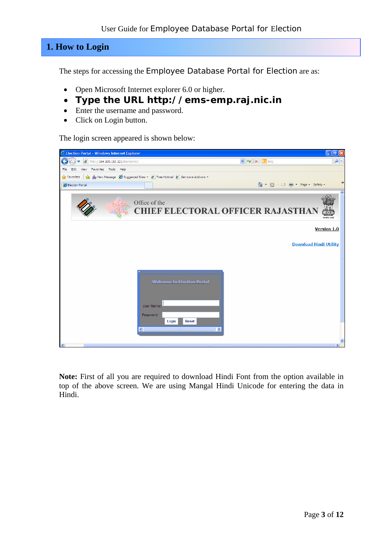#### **1. How to Login**

The steps for accessing the Employee Database Portal for Election are as:

- Open Microsoft Internet explorer 6.0 or higher.
- **Type the URL http://ems-emp.raj.nic.in**
- Enter the username and password.
- Click on Login button.

The login screen appeared is shown below:



**Note:** First of all you are required to download Hindi Font from the option available in top of the above screen. We are using Mangal Hindi Unicode for entering the data in Hindi.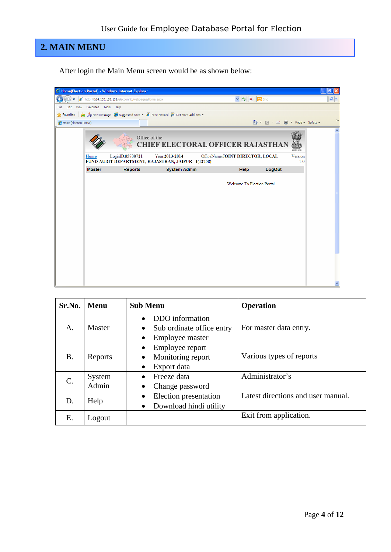### **2. MAIN MENU**

After login the Main Menu screen would be as shown below:



| Sr.No.          | <b>Menu</b>     | <b>Sub Menu</b>                                                                                        | <b>Operation</b>                   |
|-----------------|-----------------|--------------------------------------------------------------------------------------------------------|------------------------------------|
| A.              | Master          | DDO information<br>$\bullet$<br>Sub ordinate office entry<br>$\bullet$<br>Employee master<br>$\bullet$ | For master data entry.             |
| <b>B.</b>       | Reports         | Employee report<br>$\bullet$<br>Monitoring report<br>$\bullet$<br>Export data<br>$\bullet$             | Various types of reports           |
| $\mathcal{C}$ . | System<br>Admin | Freeze data<br>$\bullet$<br>Change password<br>$\bullet$                                               | Administrator's                    |
| D.              | Help            | Election presentation<br>$\bullet$<br>Download hindi utility<br>$\bullet$                              | Latest directions and user manual. |
| Ε.              | Logout          |                                                                                                        | Exit from application.             |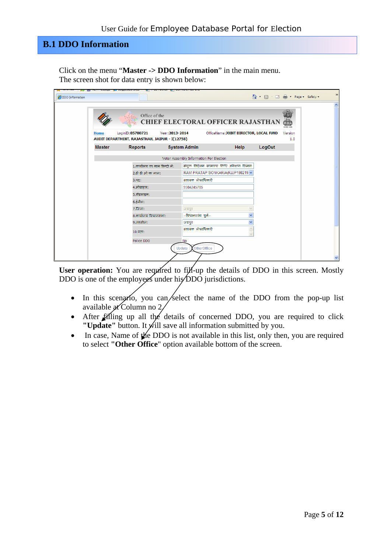### **B.1 DDO Information**

Click on the menu "**Master -> DDO Information**" in the main menu. The screen shot for data entry is shown below:

| <b>ODO</b> Information |               |                                                                                                                                                                                                                                                                                                                                                                                                                                                                                                   |                 |                                         |                                            |              | ☆ · 5 · □ ● · Page · Safety · |                | $\rightarrow$       |
|------------------------|---------------|---------------------------------------------------------------------------------------------------------------------------------------------------------------------------------------------------------------------------------------------------------------------------------------------------------------------------------------------------------------------------------------------------------------------------------------------------------------------------------------------------|-----------------|-----------------------------------------|--------------------------------------------|--------------|-------------------------------|----------------|---------------------|
|                        |               | Office of the                                                                                                                                                                                                                                                                                                                                                                                                                                                                                     |                 |                                         | <b>CHIEF ELECTORAL OFFICER RAJASTHAN</b>   |              |                               | rake urak      | $\hat{\phantom{a}}$ |
|                        | Home          | LoqinID:05700721<br>AUDIT DEPARTMENT, RAJASTHAN, JAIPUR - I(12758)                                                                                                                                                                                                                                                                                                                                                                                                                                | Year: 2013-2014 |                                         | OfficeName: JOINT DIRECTOR, LOCAL FUND     |              |                               | Version<br>1.0 |                     |
|                        | <b>Master</b> | <b>Reports</b>                                                                                                                                                                                                                                                                                                                                                                                                                                                                                    |                 | <b>System Admin</b>                     |                                            | <b>Help</b>  | LogOut                        |                |                     |
|                        |               |                                                                                                                                                                                                                                                                                                                                                                                                                                                                                                   |                 | Voter Assembly Information For Election |                                            |              |                               |                |                     |
|                        |               | 1.कार्यालय का नाम हिन्दी में:                                                                                                                                                                                                                                                                                                                                                                                                                                                                     |                 |                                         | संयुक्त निदेशक सामान्य निधि अंकेक्षण विभाग |              |                               |                |                     |
|                        |               | 2.डी डी ओ का नाम:                                                                                                                                                                                                                                                                                                                                                                                                                                                                                 |                 |                                         | RAM PRATAP SONKARIA(RJJP198219 v           |              |                               |                |                     |
|                        |               | $3.45$ :                                                                                                                                                                                                                                                                                                                                                                                                                                                                                          |                 | सहायक लेखाधिकारी                        |                                            |              |                               |                |                     |
|                        |               | 4.मोबाइल:                                                                                                                                                                                                                                                                                                                                                                                                                                                                                         |                 | 9584245785                              |                                            |              |                               |                |                     |
|                        |               | $5.\overline{3}$ डलाइन:                                                                                                                                                                                                                                                                                                                                                                                                                                                                           |                 |                                         |                                            |              |                               |                |                     |
|                        |               | $6.\overline{$}3\overline{$}3\overline{$}3\overline{$}3\overline{$}3\overline{$}3\overline{$}3\overline{$}3\overline{$}3\overline{$}3\overline{$}3\overline{$}3\overline{$}3\overline{$}3\overline{$}3\overline{$}3\overline{$}3\overline{$}3\overline{$}3\overline{$}3\overline{$}3\overline{$}3\overline{$}3\overline{$}3\overline{$}3\overline{$}3\overline{$}3\overline{$}3\overline{$}3\overline{$}3\overline{$}3\overline{$}3\overline{$}3\overline{$}3\overline{$}3\overline{$}3\overline$ |                 |                                         |                                            |              |                               |                |                     |
|                        |               | 7.जिला:                                                                                                                                                                                                                                                                                                                                                                                                                                                                                           |                 | जयपुर                                   |                                            |              |                               |                |                     |
|                        |               | 8.कार्यालय विधानसभा:                                                                                                                                                                                                                                                                                                                                                                                                                                                                              |                 | --विधानसभा चुनें--                      |                                            | $\checkmark$ |                               |                |                     |
|                        |               | 9.तहसील:                                                                                                                                                                                                                                                                                                                                                                                                                                                                                          |                 | जयपुर<br>सहायक लेखाधिकारी               |                                            |              |                               |                |                     |
|                        |               | $10.4$ ताः                                                                                                                                                                                                                                                                                                                                                                                                                                                                                        |                 |                                         |                                            |              |                               |                |                     |
|                        |               | Police DDO                                                                                                                                                                                                                                                                                                                                                                                                                                                                                        |                 | <b>No</b>                               |                                            |              |                               |                |                     |
|                        |               |                                                                                                                                                                                                                                                                                                                                                                                                                                                                                                   | Update          | OtherOffice                             |                                            |              |                               |                | v                   |

User operation: You are required to fill-up the details of DDO in this screen. Mostly DDO is one of the employees under his DDO jurisdictions.

- In this scenario, you can select the name of the DDO from the pop-up list available at Column no 2.
- After filling up all the details of concerned DDO, you are required to click **"Update"** button. It will save all information submitted by you.
- In case, Name of the DDO is not available in this list, only then, you are required to select **"Other Office**" option available bottom of the screen.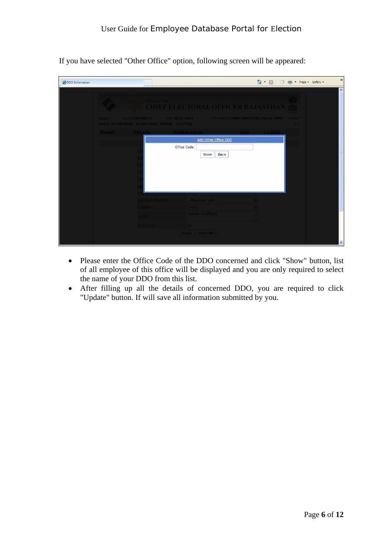If you have selected "Other Office" option, following screen will be appeared:

| <b>ODO</b> Information |                                                |                                                                                    |             | ☆ · 同 · □ ● · Page · Safety · | $\rightarrow$       |
|------------------------|------------------------------------------------|------------------------------------------------------------------------------------|-------------|-------------------------------|---------------------|
|                        | Office of the                                  | <b>CHIEF ELECTORAL OFFICER RAJASTHAN</b>                                           |             |                               | $\vert \cdot \vert$ |
|                        | AUDIT DEPARTMENT, RAJASTHAN, JAIPUR - I(12758) | Home LoginID:05700721 Year:2013-2014 OfficeName:JOINT DIRECTOR, LOCAL FUND Version |             | 1.0                           |                     |
|                        | Master Reports System Admin                    |                                                                                    | Help LogOut |                               |                     |
|                        |                                                | Add Other Office DDO                                                               |             |                               |                     |
|                        | Office Code:<br>8.कार्यालय विधानसभा:           | <b>Back</b><br>Show<br>— ∴ियधानसभा चुर्ने⊹                                         |             |                               |                     |
|                        | $9.75$ सील:                                    | ायपर ।                                                                             |             |                               |                     |
|                        | 10.971                                         | सहायक लेखाधिकारी                                                                   |             |                               |                     |
|                        | Police DDO                                     | No.<br>Update OtherOffice                                                          |             |                               | $\checkmark$        |

- Please enter the Office Code of the DDO concerned and click "Show" button, list of all employee of this office will be displayed and you are only required to select the name of your DDO from this list.
- After filling up all the details of concerned DDO, you are required to click "Update" button. If will save all information submitted by you.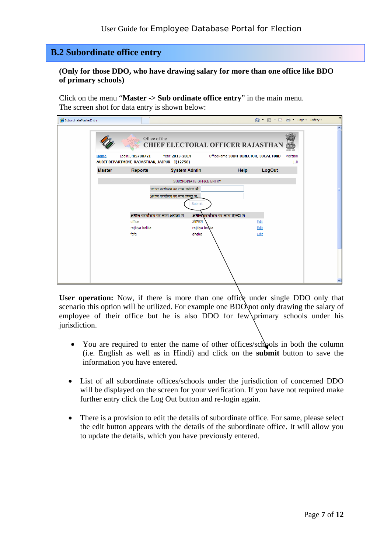#### **B.2 Subordinate office entry**

**(Only for those DDO, who have drawing salary for more than one office like BDO of primary schools)** 

Click on the menu "**Master -> Sub ordinate office entry**" in the main menu. The screen shot for data entry is shown below:

| SubordinateMasterEntry |               |                                                                    |                                          |                                        | 合 ■ 国典 Page Safety |                | $\rightarrow$ |
|------------------------|---------------|--------------------------------------------------------------------|------------------------------------------|----------------------------------------|--------------------|----------------|---------------|
|                        |               | Office of the                                                      | <b>CHIEF ELECTORAL OFFICER RAJASTHAN</b> |                                        |                    | एकोर जर्म      | ∧             |
|                        | Home          | LoginID:05700721<br>AUDIT DEPARTMENT, RAJASTHAN, JAIPUR - I(12758) | Year: 2013-2014                          | OfficeName: JOINT DIRECTOR, LOCAL FUND |                    | Version<br>1.0 |               |
|                        | <b>Master</b> | <b>Reports</b>                                                     | <b>System Admin</b>                      | <b>Help</b>                            | LogOut             |                |               |
|                        |               |                                                                    | SUBORDINATE OFFICE ENTRY                 |                                        |                    |                |               |
|                        |               |                                                                    | अधीन कार्यालय का नाम अग्रेजी में:        |                                        |                    |                |               |
|                        |               |                                                                    | अधीन कार्यालय का नाम हिन्दी में:         |                                        |                    |                |               |
|                        |               |                                                                    | Submit                                   |                                        |                    |                |               |
|                        |               | अधीन कार्यालय का नाम अंग्रेजी में                                  |                                          | अधीन कार्यालय का नाम हिन्दी में        |                    |                |               |
|                        |               | office                                                             | ऑफिस                                     |                                        | Edit               |                |               |
|                        |               | rajkiya balika                                                     | rajkiya balika                           |                                        | Edit               |                |               |
|                        |               | fgfg                                                               | ghghg                                    |                                        | Edit               |                |               |
|                        |               |                                                                    |                                          |                                        |                    |                |               |
|                        |               |                                                                    |                                          |                                        |                    |                |               |
|                        |               |                                                                    |                                          |                                        |                    |                |               |
|                        |               |                                                                    |                                          |                                        |                    |                |               |
|                        |               |                                                                    |                                          |                                        |                    |                |               |

User operation: Now, if there is more than one office under single DDO only that scenario this option will be utilized. For example one BDO not only drawing the salary of employee of their office but he is also DDO for few primary schools under his jurisdiction.

- You are required to enter the name of other offices/schools in both the column (i.e. English as well as in Hindi) and click on the **submit** button to save the information you have entered.
- List of all subordinate offices/schools under the jurisdiction of concerned DDO will be displayed on the screen for your verification. If you have not required make further entry click the Log Out button and re-login again.
- There is a provision to edit the details of subordinate office. For same, please select the edit button appears with the details of the subordinate office. It will allow you to update the details, which you have previously entered.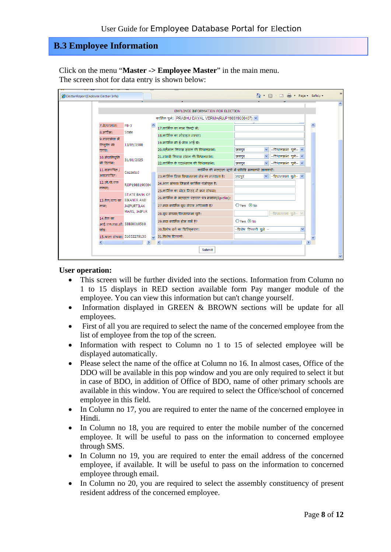#### **B.3 Employee Information**

Click on the menu "**Master -> Employee Master**" in the main menu. The screen shot for data entry is shown below:

| ElectionReport(Employee Election Info) |                                                   |                                                      | - 同 · 口 曲 · Page - Safety -                            | $\rightarrow$ |
|----------------------------------------|---------------------------------------------------|------------------------------------------------------|--------------------------------------------------------|---------------|
|                                        |                                                   |                                                      |                                                        |               |
|                                        |                                                   | EMPLOYEE INFORMATION FOR ELECTION                    |                                                        |               |
|                                        |                                                   | कार्मिक चुने: PRABHU DAYAL VERMA(RJJP198819000407) ~ |                                                        |               |
| ७.वेतनमान:                             | $PB-3$                                            | 17.कार्मिक का नाम हिन्दी में:                        |                                                        |               |
| $8.$ सर्विस:                           | <b>State</b>                                      | 18.कार्मिक का मोबाइल लम्बर:                          |                                                        |               |
| 9.राज्यसेवा में                        |                                                   |                                                      |                                                        |               |
| नियंति की                              | 13/05/1988                                        | 19.कार्मिक की ई-मेल आई डी:                           |                                                        |               |
| तिथि:                                  |                                                   | 20.वर्तमान निवास स्थान की विधानसभा:                  | $-$ विधानसभा चुने $ \vee$<br>$\checkmark$<br>जयपुर     |               |
| 10.सेवानिवृत्ति                        | 31/01/2025                                        | 21.स्थायी निवास स्थान की विधानसभा:                   | $-$ विधानसभा चुने $ \sim$<br>$\checkmark$<br>जयपुर     |               |
| की दिलांक:                             |                                                   | 22.कार्मिक के पदस्थापन की विधानसभा:                  | $-$ विधानसभा चुने $ \times$<br>$\checkmark$<br>जयपुर   |               |
| $11.$ राजपत्रित                        | Gazzeted                                          |                                                      | कार्मिक की मतदाता सूची में प्रविष्टि सम्बन्धी जानकारी: |               |
| अराजपंत्रितः                           |                                                   | 23.कार्मिक जिस विधानसभा क्षेत्र का मतदाता है:        | $-$ विधानसभा चुने $ \times$<br>$\vee$<br>जयपुर         |               |
| 12.जी.पी.एफ                            | RJJP1988190004                                    | 24.भाग संख्या जिसमें कार्मिक पंजीकत है:              |                                                        |               |
| नम्बर:                                 |                                                   | 25.कार्मिक का वोटर लिस्ट में क्रम संख्या:            |                                                        |               |
|                                        | <b>STATE BANK OF</b><br>13.वैक/बाच का BIKANER AND | 26.कार्मिक के मतदाता पहचान पत्र क्रमांक(EpicNo):     |                                                        |               |
| नाम:                                   | <b>JAIPURTILAK</b>                                | 27.क्या कार्मिक वथ लेवल अधिकारी है?                  | $OYes$ $@$ No                                          |               |
|                                        | MARG, JAIPUR                                      | 28.बूथ संख्या/विधानसभा चुने:                         | $-$ विधानसभा चुने $ \vee$                              |               |
| 14.वैक का                              |                                                   | 29.क्या कार्मिक होम गार्ड है?                        | $OYes$ ONo                                             |               |
|                                        | आई.एफ.एस.सी. SBBJ0010510                          |                                                      | --विशेष टिप्पणी चुने --                                |               |
| कोड:                                   |                                                   | 30.विशेष वर्ग का चिन्हिकरण:                          |                                                        |               |
|                                        | 15.खाता संख्या: 51052279130                       | 31.विशेष टिप्पणी:                                    |                                                        |               |
|                                        | <b>THEFT</b>                                      |                                                      |                                                        |               |
|                                        |                                                   | <b>Submit</b>                                        |                                                        |               |
|                                        |                                                   |                                                      |                                                        |               |

#### **User operation:**

- This screen will be further divided into the sections. Information from Column no 1 to 15 displays in RED section available form Pay manger module of the employee. You can view this information but can't change yourself.
- Information displayed in GREEN & BROWN sections will be update for all employees.
- First of all you are required to select the name of the concerned employee from the list of employee from the top of the screen.
- Information with respect to Column no 1 to 15 of selected employee will be displayed automatically.
- Please select the name of the office at Column no 16. In almost cases, Office of the DDO will be available in this pop window and you are only required to select it but in case of BDO, in addition of Office of BDO, name of other primary schools are available in this window. You are required to select the Office/school of concerned employee in this field.
- In Column no 17, you are required to enter the name of the concerned employee in Hindi.
- In Column no 18, you are required to enter the mobile number of the concerned employee. It will be useful to pass on the information to concerned employee through SMS.
- In Column no 19, you are required to enter the email address of the concerned employee, if available. It will be useful to pass on the information to concerned employee through email.
- In Column no 20, you are required to select the assembly constituency of present resident address of the concerned employee.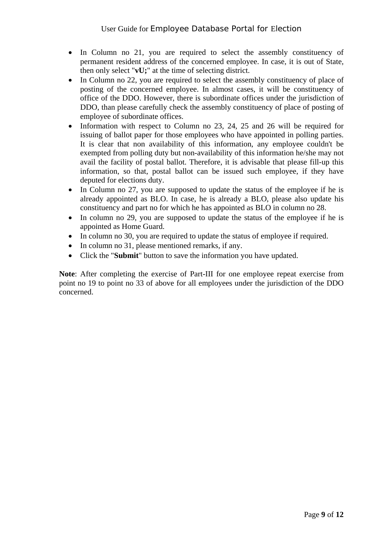- In Column no 21, you are required to select the assembly constituency of permanent resident address of the concerned employee. In case, it is out of State, then only select "**vU;**" at the time of selecting district.
- In Column no 22, you are required to select the assembly constituency of place of posting of the concerned employee. In almost cases, it will be constituency of office of the DDO. However, there is subordinate offices under the jurisdiction of DDO, than please carefully check the assembly constituency of place of posting of employee of subordinate offices.
- Information with respect to Column no 23, 24, 25 and 26 will be required for issuing of ballot paper for those employees who have appointed in polling parties. It is clear that non availability of this information, any employee couldn't be exempted from polling duty but non-availability of this information he/she may not avail the facility of postal ballot. Therefore, it is advisable that please fill-up this information, so that, postal ballot can be issued such employee, if they have deputed for elections duty.
- In Column no 27, you are supposed to update the status of the employee if he is already appointed as BLO. In case, he is already a BLO, please also update his constituency and part no for which he has appointed as BLO in column no 28.
- In column no 29, you are supposed to update the status of the employee if he is appointed as Home Guard.
- In column no 30, you are required to update the status of employee if required.
- In column no 31, please mentioned remarks, if any.
- Click the "**Submit**" button to save the information you have updated.

**Note**: After completing the exercise of Part-III for one employee repeat exercise from point no 19 to point no 33 of above for all employees under the jurisdiction of the DDO concerned.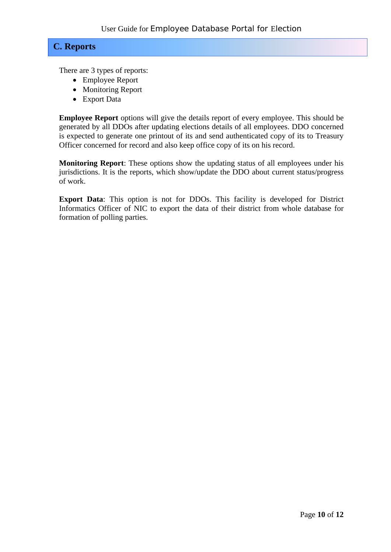#### **C. Reports**

There are 3 types of reports:

- Employee Report
- Monitoring Report
- Export Data

**Employee Report** options will give the details report of every employee. This should be generated by all DDOs after updating elections details of all employees. DDO concerned is expected to generate one printout of its and send authenticated copy of its to Treasury Officer concerned for record and also keep office copy of its on his record.

**Monitoring Report**: These options show the updating status of all employees under his jurisdictions. It is the reports, which show/update the DDO about current status/progress of work.

**Export Data**: This option is not for DDOs. This facility is developed for District Informatics Officer of NIC to export the data of their district from whole database for formation of polling parties.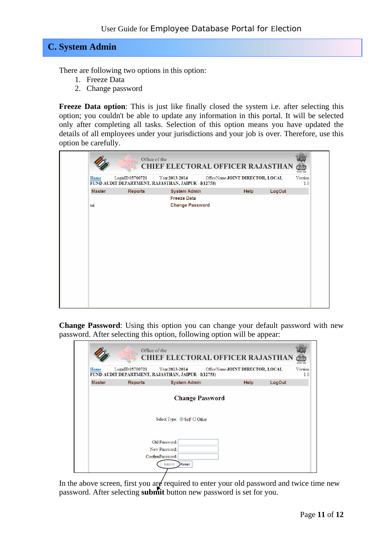### **C. System Admin**

There are following two options in this option:

- 1. Freeze Data
- 2. Change password

**Freeze Data option**: This is just like finally closed the system i.e. after selecting this option; you couldn't be able to update any information in this portal. It will be selected only after completing all tasks. Selection of this option means you have updated the details of all employees under your jurisdictions and your job is over. Therefore, use this option be carefully.

|               | Office of the    | <b>CHIEF ELECTORAL OFFICER RAJASTHAN</b>                              |                                  |        |                            |
|---------------|------------------|-----------------------------------------------------------------------|----------------------------------|--------|----------------------------|
| Home          | LoginID:05700721 | Year:2013-2014<br>FUND AUDIT DEPARTMENT, RAJASTHAN, JAIPUR - I(12758) | OfficeName:JOINT DIRECTOR, LOCAL |        | paga san<br>Version<br>1.0 |
| <b>Master</b> | <b>Reports</b>   | <b>System Admin</b>                                                   | Help                             | LogOut |                            |
|               |                  | <b>Freeze Data</b>                                                    |                                  |        |                            |
| tal           |                  | <b>Change Password</b>                                                |                                  |        |                            |
|               |                  |                                                                       |                                  |        |                            |
|               |                  |                                                                       |                                  |        |                            |
|               |                  |                                                                       |                                  |        |                            |
|               |                  |                                                                       |                                  |        |                            |

**Change Password**: Using this option you can change your default password with new password. After selecting this option, following option will be appear:

| Home          | LoginID:05700721 | Year:2013-2014<br>FUND AUDIT DEPARTMENT, RAJASTHAN, JAIPUR - I(12758) | OfficeName:JOINT DIRECTOR, LOCAL |        | Version<br>1.0 |
|---------------|------------------|-----------------------------------------------------------------------|----------------------------------|--------|----------------|
| <b>Master</b> | <b>Reports</b>   | <b>System Admin</b>                                                   | Help                             | LogOut |                |
|               |                  | <b>Change Password</b>                                                |                                  |        |                |
|               |                  |                                                                       |                                  |        |                |
|               |                  | Select Type: ⊙ Self ○ Other                                           |                                  |        |                |
|               |                  | Old Password:                                                         |                                  |        |                |
|               |                  |                                                                       |                                  |        |                |
|               |                  | New Password:                                                         |                                  |        |                |

In the above screen, first you are required to enter your old password and twice time new password. After selecting **submit** button new password is set for you.